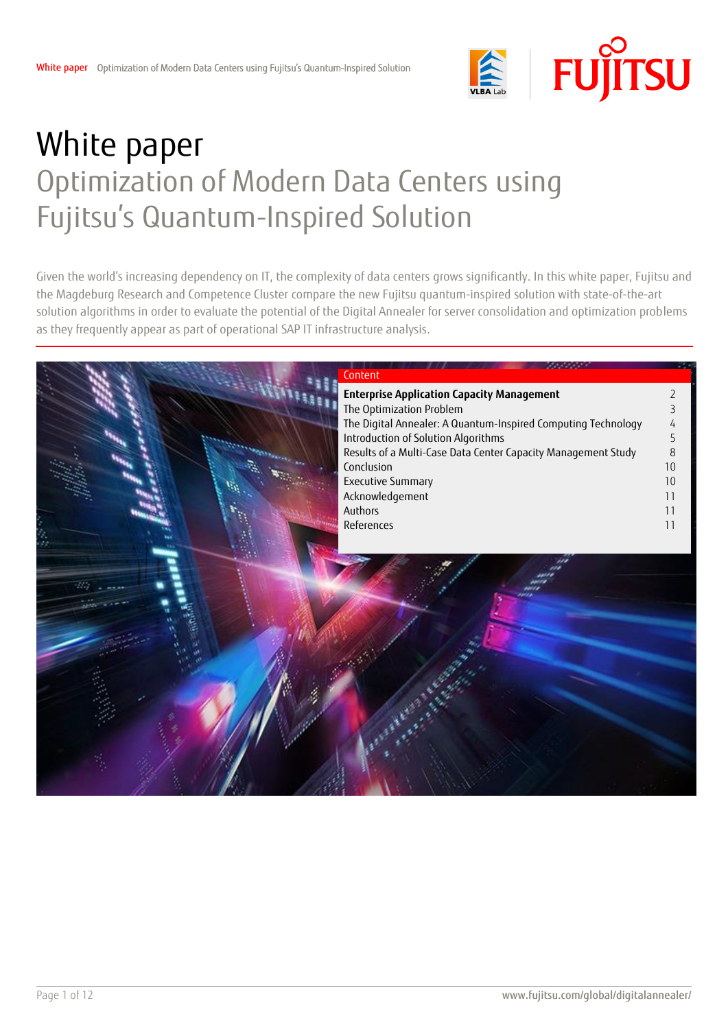

# White paper Optimization of Modern Data Centers using Fujitsu's Quantum-Inspired Solution

Given the world's increasing dependency on IT, the complexity of data centers grows significantly. In this white paper, Fujitsu and the Magdeburg Research and Competence Cluster compare the new Fujitsu quantum-inspired solution with state-of-the-art solution algorithms in order to evaluate the potential of the Digital Annealer for server consolidation and optimization problems as they frequently appear as part of operational SAP IT infrastructure analysis.

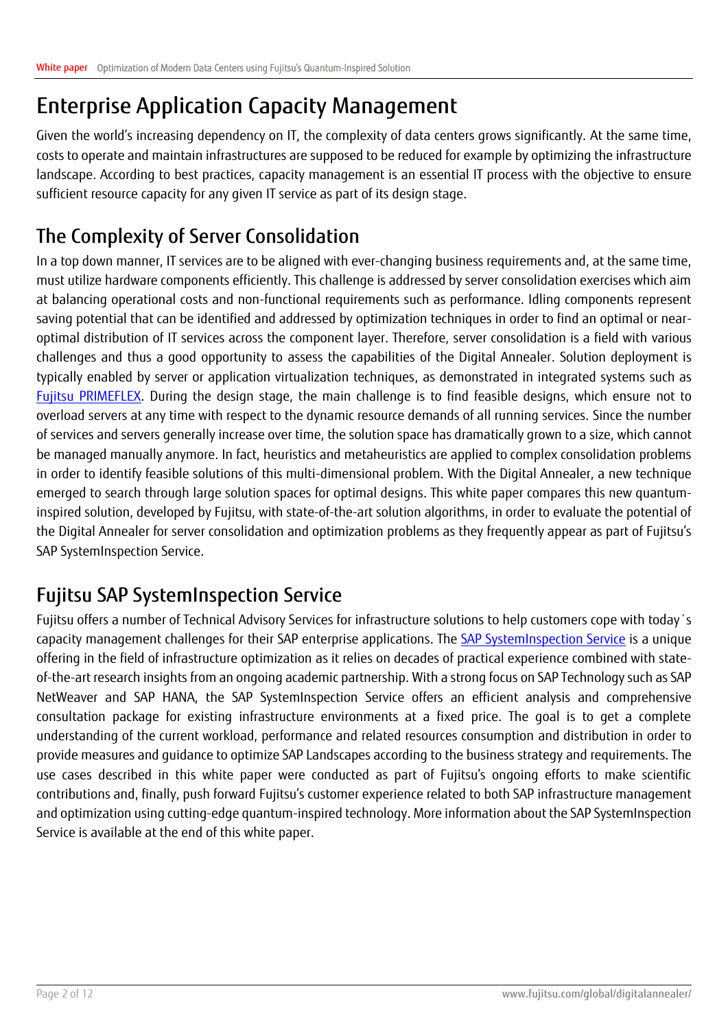### <span id="page-1-0"></span>Enterprise Application Capacity Management

Given the world's increasing dependency on IT, the complexity of data centers grows significantly. At the same time, costs to operate and maintain infrastructures are supposed to be reduced for example by optimizing the infrastructure landscape. According to best practices, capacity management is an essential IT process with the objective to ensure sufficient resource capacity for any given IT service as part of its design stage.

### The Complexity of Server Consolidation

In a top down manner, IT services are to be aligned with ever-changing business requirements and, at the same time, must utilize hardware components efficiently. This challenge is addressed by server consolidation exercises which aim at balancing operational costs and non-functional requirements such as performance. Idling components represent saving potential that can be identified and addressed by optimization techniques in order to find an optimal or nearoptimal distribution of IT services across the component layer. Therefore, server consolidation is a field with various challenges and thus a good opportunity to assess the capabilities of the Digital Annealer. Solution deployment is typically enabled by server or application virtualization techniques, as demonstrated in integrated systems such as [Fujitsu PRIMEFLEX.](https://www.fujitsu.com/emeia/products/computing/integrated-systems/) During the design stage, the main challenge is to find feasible designs, which ensure not to overload servers at any time with respect to the dynamic resource demands of all running services. Since the number of services and servers generally increase over time, the solution space has dramatically grown to a size, which cannot be managed manually anymore. In fact, heuristics and metaheuristics are applied to complex consolidation problems in order to identify feasible solutions of this multi-dimensional problem. With the Digital Annealer, a new technique emerged to search through large solution spaces for optimal designs. This white paper compares this new quantuminspired solution, developed by Fujitsu, with state-of-the-art solution algorithms, in order to evaluate the potential of the Digital Annealer for server consolidation and optimization problems as they frequently appear as part of Fujitsu's SAP SystemInspection Service.

### Fujitsu SAP SystemInspection Service

Fujitsu offers a number of Technical Advisory Services for infrastructure solutions to help customers cope with today´s capacity management challenges for their SAP enterprise applications. The [SAP SystemInspection Service](https://www.fujitsu.com/de/solutions/infrastructure/dynamic-infrastructure/inspection-services/index.html) is a unique offering in the field of infrastructure optimization as it relies on decades of practical experience combined with stateof-the-art research insights from an ongoing academic partnership. With a strong focus on SAP Technology such as SAP NetWeaver and SAP HANA, the SAP SystemInspection Service offers an efficient analysis and comprehensive consultation package for existing infrastructure environments at a fixed price. The goal is to get a complete understanding of the current workload, performance and related resources consumption and distribution in order to provide measures and guidance to optimize SAP Landscapes according to the business strategy and requirements. The use cases described in this white paper were conducted as part of Fujitsu's ongoing efforts to make scientific contributions and, finally, push forward Fujitsu's customer experience related to both SAP infrastructure management and optimization using cutting-edge quantum-inspired technology. More information about the SAP SystemInspection Service is available at the end of this white paper.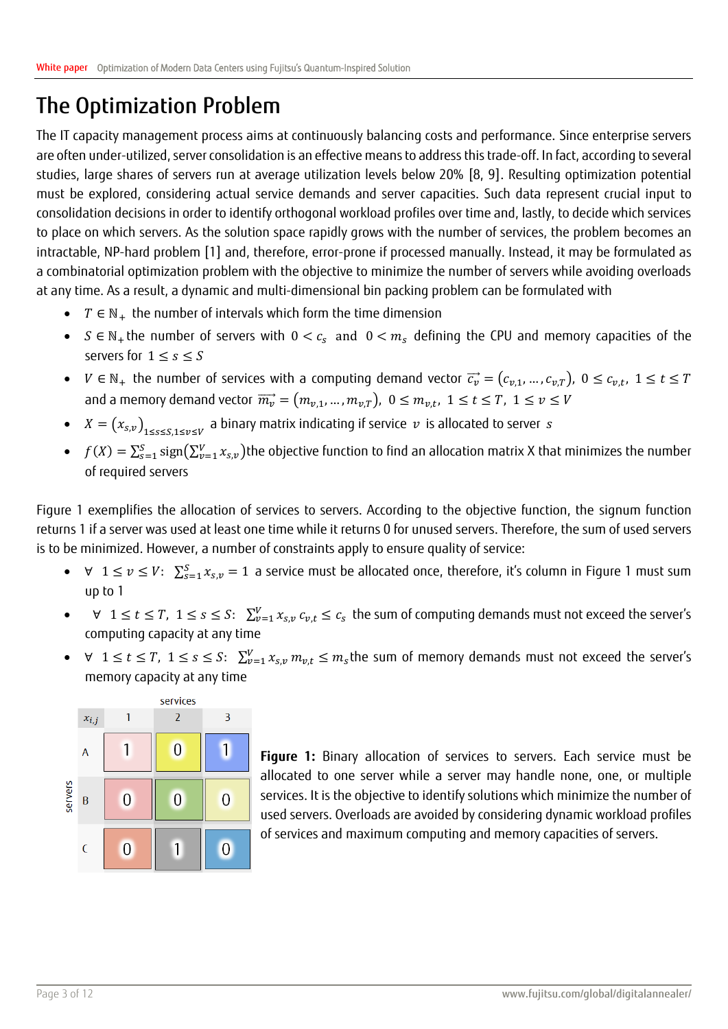### <span id="page-2-0"></span>The Optimization Problem

The IT capacity management process aims at continuously balancing costs and performance. Since enterprise servers are often under-utilized, server consolidation is an effective means to address this trade-off. In fact, according to several studies, large shares of servers run at average utilization levels below 20% [8, 9]. Resulting optimization potential must be explored, considering actual service demands and server capacities. Such data represent crucial input to consolidation decisions in order to identify orthogonal workload profiles over time and, lastly, to decide which services to place on which servers. As the solution space rapidly grows with the number of services, the problem becomes an intractable, NP-hard problem [1] and, therefore, error-prone if processed manually. Instead, it may be formulated as a combinatorial optimization problem with the objective to minimize the number of servers while avoiding overloads at any time. As a result, a dynamic and multi-dimensional bin packing problem can be formulated with

- $T \in \mathbb{N}_+$  the number of intervals which form the time dimension
- $S \in \mathbb{N}_+$ the number of servers with  $0 < c_s$  and  $0 < m_s$  defining the CPU and memory capacities of the servers for  $1 \leq s \leq S$
- $V \in \mathbb{N}_+$  the number of services with a computing demand vector  $\vec{c_v} = (c_{v,1},...,c_{v,T})$ ,  $0 \leq c_{v,t}$ ,  $1 \leq t \leq T$ and a memory demand vector  $\overrightarrow{m_v} = (m_{v,1},...,m_{v,T}),\; 0 \leq m_{v,t},\; 1 \leq t \leq T,\; 1 \leq v \leq V$
- $\bullet$   $X = (x_{s,v})^{}_{1 \leq s \leq S, 1 \leq v \leq V}$  a binary matrix indicating if service  $\,v\,$  is allocated to server  $\,s\,$
- $f(X) = \sum_{s=1}^{S} sign(\sum_{\nu=1}^{V} x_{s,\nu})$ the objective function to find an allocation matrix X that minimizes the number of required servers

Figure 1 exemplifies the allocation of services to servers. According to the objective function, the signum function returns 1 if a server was used at least one time while it returns 0 for unused servers. Therefore, the sum of used servers is to be minimized. However, a number of constraints apply to ensure quality of service:

- $\forall$   $1 \le v \le V$ :  $\sum_{s=1}^{S} x_{s,v} = 1$  a service must be allocated once, therefore, it's column in Figure 1 must sum up to 1
- $\forall$   $1 \le t \le T$ ,  $1 \le s \le S$ :  $\sum_{\nu=1}^{V} x_{s,\nu} c_{\nu,t} \le c_s$  the sum of computing demands must not exceed the server's computing capacity at any time
- $\forall$   $1 \le t \le T$ ,  $1 \le s \le S$ :  $\sum_{\nu=1}^{V} x_{s,\nu} m_{\nu,t} \le m_s$ the sum of memory demands must not exceed the server's memory capacity at any time



**Figure 1:** Binary allocation of services to servers. Each service must be allocated to one server while a server may handle none, one, or multiple services. It is the objective to identify solutions which minimize the number of used servers. Overloads are avoided by considering dynamic workload profiles of services and maximum computing and memory capacities of servers.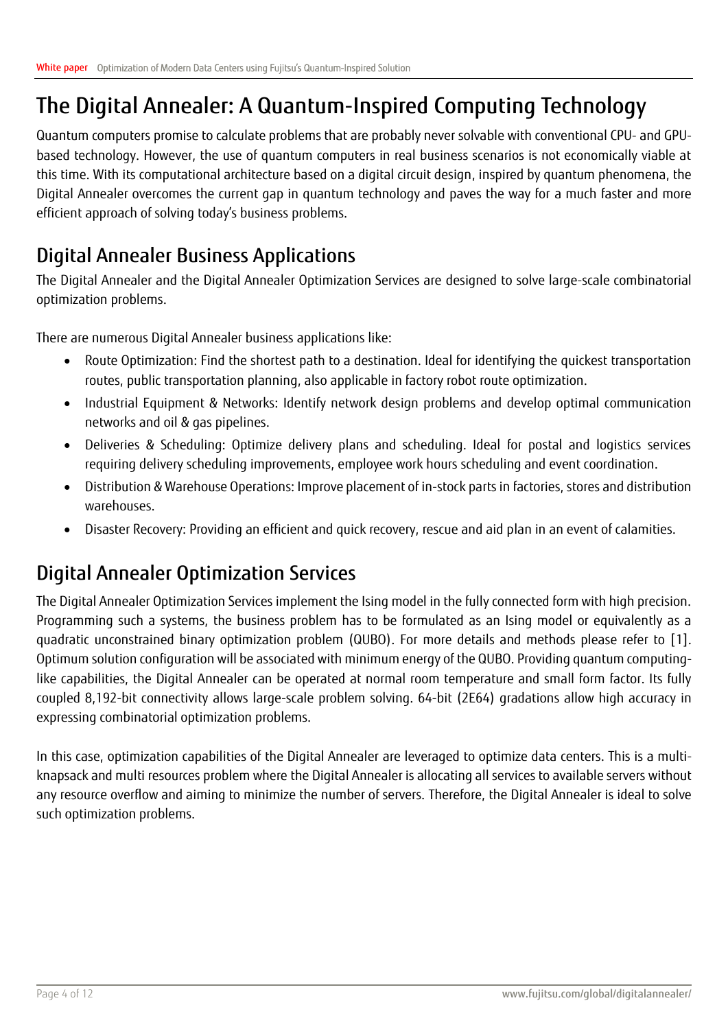## <span id="page-3-0"></span>The Digital Annealer: A Quantum-Inspired Computing Technology

Quantum computers promise to calculate problems that are probably never solvable with conventional CPU- and GPUbased technology. However, the use of quantum computers in real business scenarios is not economically viable at this time. With its computational architecture based on a digital circuit design, inspired by quantum phenomena, the Digital Annealer overcomes the current gap in quantum technology and paves the way for a much faster and more efficient approach of solving today's business problems.

### Digital Annealer Business Applications

The Digital Annealer and the Digital Annealer Optimization Services are designed to solve large-scale combinatorial optimization problems.

There are numerous Digital Annealer business applications like:

- Route Optimization: Find the shortest path to a destination. Ideal for identifying the quickest transportation routes, public transportation planning, also applicable in factory robot route optimization.
- Industrial Equipment & Networks: Identify network design problems and develop optimal communication networks and oil & gas pipelines.
- Deliveries & Scheduling: Optimize delivery plans and scheduling. Ideal for postal and logistics services requiring delivery scheduling improvements, employee work hours scheduling and event coordination.
- Distribution & Warehouse Operations: Improve placement of in-stock parts in factories, stores and distribution warehouses.
- Disaster Recovery: Providing an efficient and quick recovery, rescue and aid plan in an event of calamities.

### Digital Annealer Optimization Services

The Digital Annealer Optimization Services implement the Ising model in the fully connected form with high precision. Programming such a systems, the business problem has to be formulated as an Ising model or equivalently as a quadratic unconstrained binary optimization problem (QUBO). For more details and methods please refer to [1]. Optimum solution configuration will be associated with minimum energy of the QUBO. Providing quantum computinglike capabilities, the Digital Annealer can be operated at normal room temperature and small form factor. Its fully coupled 8,192-bit connectivity allows large-scale problem solving. 64-bit (2E64) gradations allow high accuracy in expressing combinatorial optimization problems.

In this case, optimization capabilities of the Digital Annealer are leveraged to optimize data centers. This is a multiknapsack and multi resources problem where the Digital Annealer is allocating all services to available servers without any resource overflow and aiming to minimize the number of servers. Therefore, the Digital Annealer is ideal to solve such optimization problems.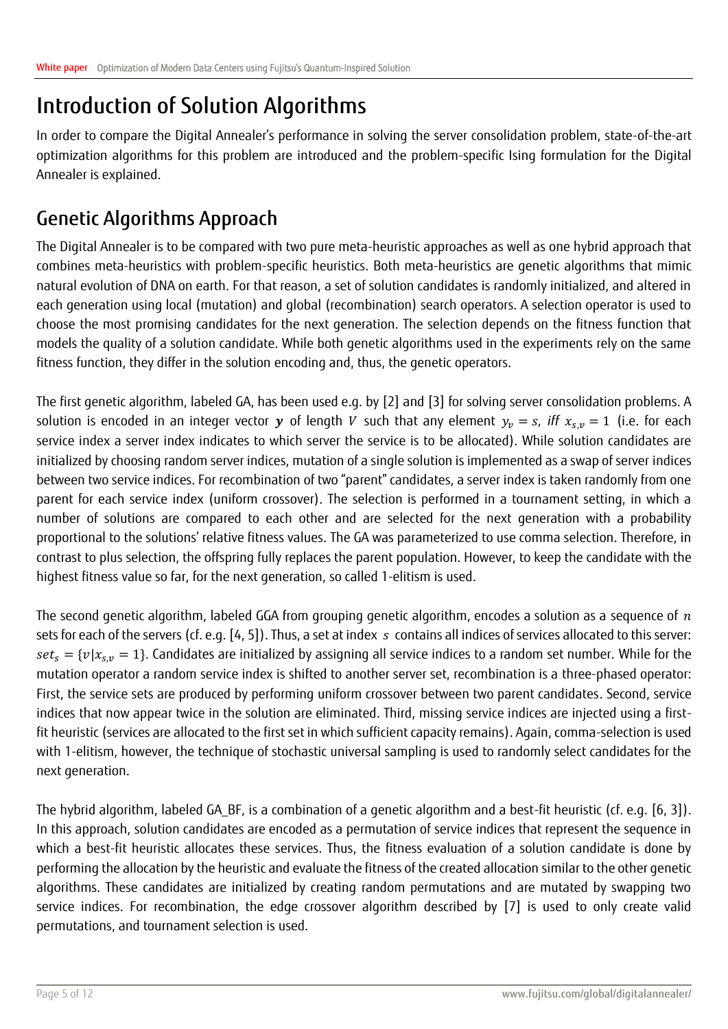### <span id="page-4-0"></span>Introduction of Solution Algorithms

In order to compare the Digital Annealer's performance in solving the server consolidation problem, state-of-the-art optimization algorithms for this problem are introduced and the problem-specific Ising formulation for the Digital Annealer is explained.

### Genetic Algorithms Approach

The Digital Annealer is to be compared with two pure meta-heuristic approaches as well as one hybrid approach that combines meta-heuristics with problem-specific heuristics. Both meta-heuristics are genetic algorithms that mimic natural evolution of DNA on earth. For that reason, a set of solution candidates is randomly initialized, and altered in each generation using local (mutation) and global (recombination) search operators. A selection operator is used to choose the most promising candidates for the next generation. The selection depends on the fitness function that models the quality of a solution candidate. While both genetic algorithms used in the experiments rely on the same fitness function, they differ in the solution encoding and, thus, the genetic operators.

The first genetic algorithm, labeled GA, has been used e.g. by [2] and [3] for solving server consolidation problems. A solution is encoded in an integer vector y of length V such that any element  $y_v = s$ , *iff*  $x_{s,v} = 1$  (i.e. for each service index a server index indicates to which server the service is to be allocated). While solution candidates are initialized by choosing random server indices, mutation of a single solution is implemented as a swap of server indices between two service indices. For recombination of two "parent" candidates, a server index is taken randomly from one parent for each service index (uniform crossover). The selection is performed in a tournament setting, in which a number of solutions are compared to each other and are selected for the next generation with a probability proportional to the solutions' relative fitness values. The GA was parameterized to use comma selection. Therefore, in contrast to plus selection, the offspring fully replaces the parent population. However, to keep the candidate with the highest fitness value so far, for the next generation, so called 1-elitism is used.

The second genetic algorithm, labeled GGA from grouping genetic algorithm, encodes a solution as a sequence of  $n$ sets for each of the servers (cf. e.g. [4, 5]). Thus, a set at index s contains all indices of services allocated to this server:  $set_s = \{v | x_{s,v} = 1\}$ . Candidates are initialized by assigning all service indices to a random set number. While for the mutation operator a random service index is shifted to another server set, recombination is a three-phased operator: First, the service sets are produced by performing uniform crossover between two parent candidates. Second, service indices that now appear twice in the solution are eliminated. Third, missing service indices are injected using a firstfit heuristic (services are allocated to the first set in which sufficient capacity remains). Again, comma-selection is used with 1-elitism, however, the technique of stochastic universal sampling is used to randomly select candidates for the next generation.

The hybrid algorithm, labeled GA BF, is a combination of a genetic algorithm and a best-fit heuristic (cf. e.g. [6, 3]). In this approach, solution candidates are encoded as a permutation of service indices that represent the sequence in which a best-fit heuristic allocates these services. Thus, the fitness evaluation of a solution candidate is done by performing the allocation by the heuristic and evaluate the fitness of the created allocation similar to the other genetic algorithms. These candidates are initialized by creating random permutations and are mutated by swapping two service indices. For recombination, the edge crossover algorithm described by [7] is used to only create valid permutations, and tournament selection is used.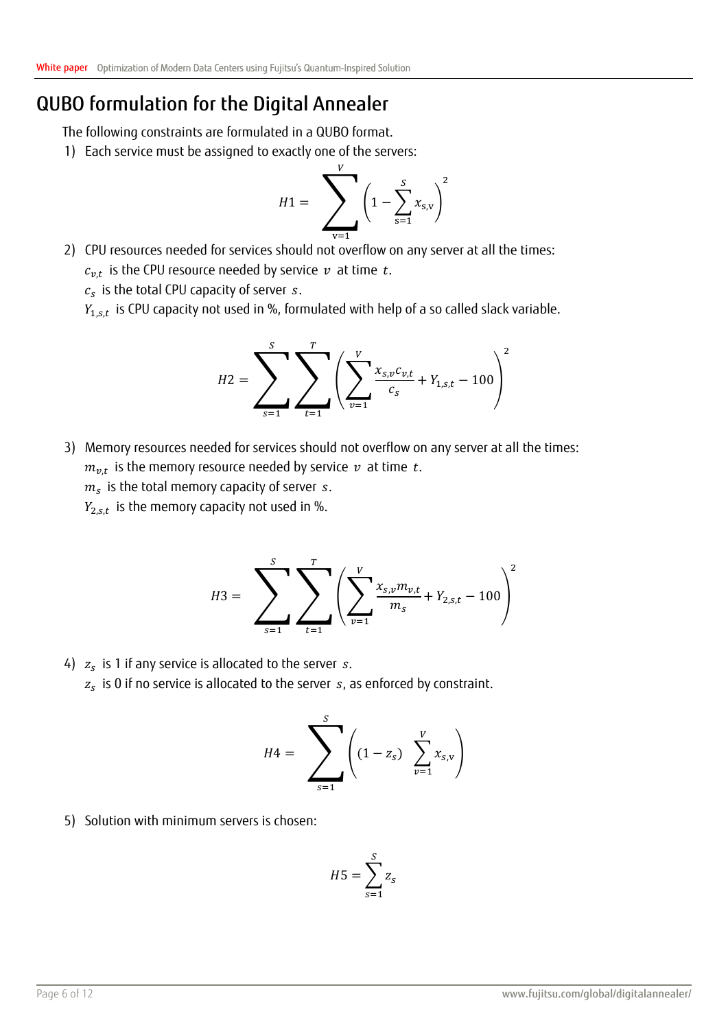### QUBO formulation for the Digital Annealer

The following constraints are formulated in a QUBO format.

1) Each service must be assigned to exactly one of the servers:

$$
H1 = \sum_{v=1}^{V} \left(1 - \sum_{s=1}^{S} x_{s,v}\right)^2
$$

2) CPU resources needed for services should not overflow on any server at all the times:  $c_{v,t}$  is the CPU resource needed by service  $\,v\,$  at time  $\,t.$ 

 $c_{s}\,$  is the total CPU capacity of server  $\,s.\,$ 

 $Y_{1,s,t}\,$  is CPU capacity not used in %, formulated with help of a so called slack variable.

$$
H2 = \sum_{s=1}^{S} \sum_{t=1}^{T} \left( \sum_{v=1}^{V} \frac{x_{s,v}c_{v,t}}{c_s} + Y_{1,s,t} - 100 \right)^2
$$

3) Memory resources needed for services should not overflow on any server at all the times:  $m_{v,t}$  is the memory resource needed by service  $\,v\,$  at time  $\,t.$  $m_{\scriptscriptstyle S}$  is the total memory capacity of server  $\,$  s.

 $Y_{2,s,t}\,$  is the memory capacity not used in %.

$$
H3 = \sum_{s=1}^{S} \sum_{t=1}^{T} \left( \sum_{v=1}^{V} \frac{x_{s,v} m_{v,t}}{m_s} + Y_{2,s,t} - 100 \right)^2
$$

### 4)  $z_s$  is 1 if any service is allocated to the server  $s.$  $\rm z_{\rm s}\,$  is 0 if no service is allocated to the server  $\rm\,s_{\rm r}$  as enforced by constraint.

$$
H4 = \sum_{s=1}^{S} \left( (1 - z_s) \sum_{\nu=1}^{V} x_{s,\nu} \right)
$$

5) Solution with minimum servers is chosen:

$$
H5 = \sum_{s=1}^{S} z_s
$$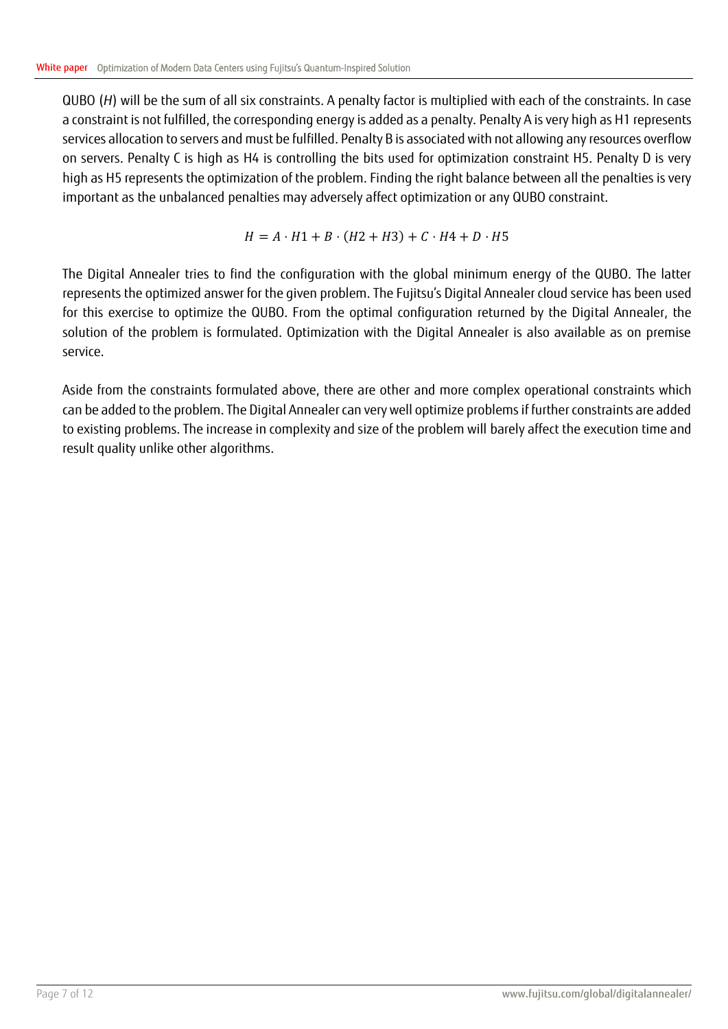QUBO (*H*) will be the sum of all six constraints. A penalty factor is multiplied with each of the constraints. In case a constraint is not fulfilled, the corresponding energy is added as a penalty. Penalty A is very high as H1 represents services allocation to servers and must be fulfilled. Penalty B is associated with not allowing any resources overflow on servers. Penalty C is high as H4 is controlling the bits used for optimization constraint H5. Penalty D is very high as H5 represents the optimization of the problem. Finding the right balance between all the penalties is very important as the unbalanced penalties may adversely affect optimization or any QUBO constraint.

$$
H = A \cdot H1 + B \cdot (H2 + H3) + C \cdot H4 + D \cdot H5
$$

The Digital Annealer tries to find the configuration with the global minimum energy of the QUBO. The latter represents the optimized answer for the given problem. The Fujitsu's Digital Annealer cloud service has been used for this exercise to optimize the QUBO. From the optimal configuration returned by the Digital Annealer, the solution of the problem is formulated. Optimization with the Digital Annealer is also available as on premise service.

Aside from the constraints formulated above, there are other and more complex operational constraints which can be added to the problem. The Digital Annealer can very well optimize problems if further constraints are added to existing problems. The increase in complexity and size of the problem will barely affect the execution time and result quality unlike other algorithms.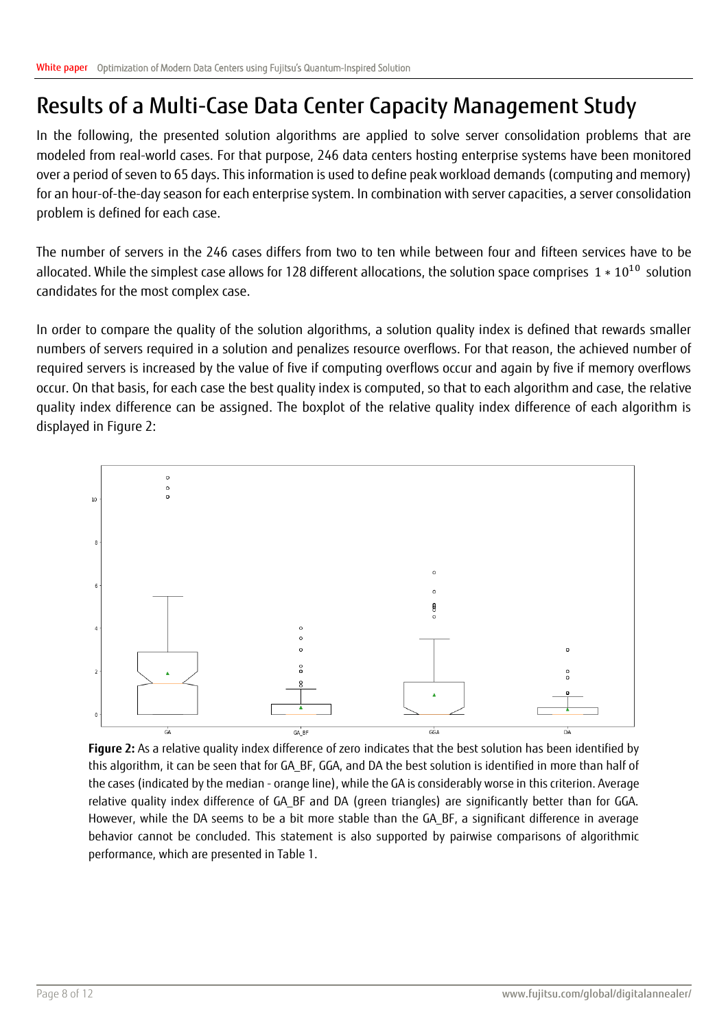### <span id="page-7-0"></span>Results of a Multi-Case Data Center Capacity Management Study

In the following, the presented solution algorithms are applied to solve server consolidation problems that are modeled from real-world cases. For that purpose, 246 data centers hosting enterprise systems have been monitored over a period of seven to 65 days. This information is used to define peak workload demands (computing and memory) for an hour-of-the-day season for each enterprise system. In combination with server capacities, a server consolidation problem is defined for each case.

The number of servers in the 246 cases differs from two to ten while between four and fifteen services have to be allocated. While the simplest case allows for 128 different allocations, the solution space comprises  $1 * 10^{10}$  solution candidates for the most complex case.

In order to compare the quality of the solution algorithms, a solution quality index is defined that rewards smaller numbers of servers required in a solution and penalizes resource overflows. For that reason, the achieved number of required servers is increased by the value of five if computing overflows occur and again by five if memory overflows occur. On that basis, for each case the best quality index is computed, so that to each algorithm and case, the relative quality index difference can be assigned. The boxplot of the relative quality index difference of each algorithm is displayed in Figure 2:



**Figure 2:** As a relative quality index difference of zero indicates that the best solution has been identified by this algorithm, it can be seen that for GA\_BF, GGA, and DA the best solution is identified in more than half of the cases (indicated by the median - orange line), while the GA is considerably worse in this criterion. Average relative quality index difference of GA\_BF and DA (green triangles) are significantly better than for GGA. However, while the DA seems to be a bit more stable than the GA\_BF, a significant difference in average behavior cannot be concluded. This statement is also supported by pairwise comparisons of algorithmic performance, which are presented in Table 1.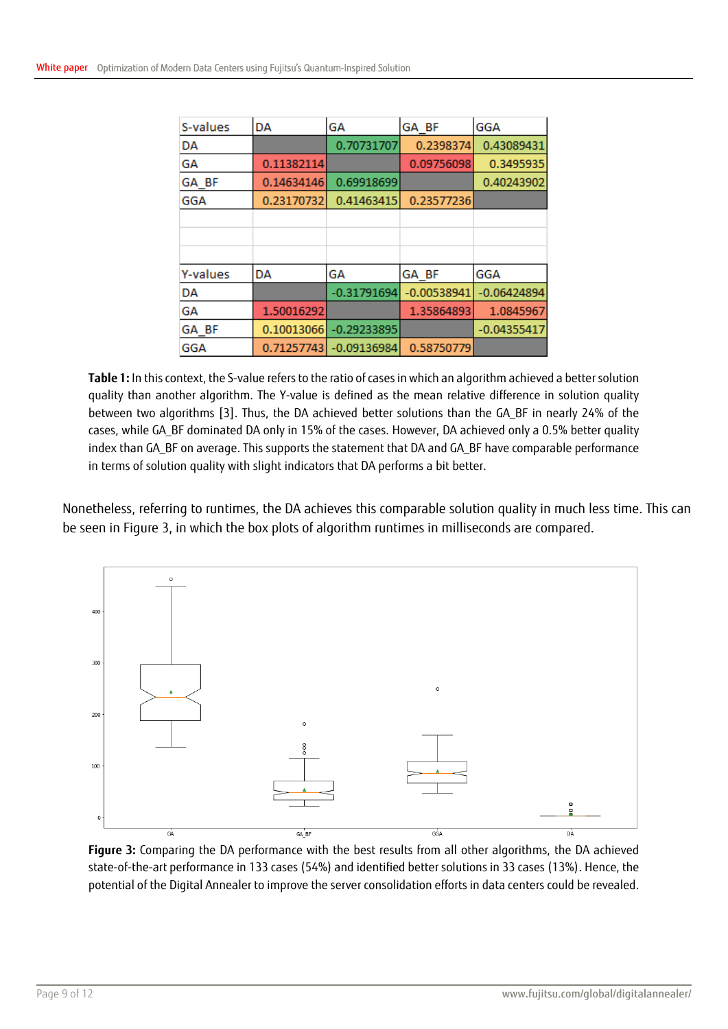| S-values   | DA         | GA            | GA BF         | <b>GGA</b>    |
|------------|------------|---------------|---------------|---------------|
| DA         |            | 0.70731707    | 0.2398374     | 0.43089431    |
| GА         | 0.11382114 |               | 0.09756098    | 0.3495935     |
| GA BF      | 0.14634146 | 0.69918699    |               | 0.40243902    |
| GGA        | 0.23170732 | 0.41463415    | 0.23577236    |               |
|            |            |               |               |               |
|            |            |               |               |               |
|            |            |               |               |               |
| Y-values   | DA         | GΑ            | GA BF         | GGA           |
| DA         |            | $-0.31791694$ | $-0.00538941$ | $-0.06424894$ |
| GА         | 1.50016292 |               | 1.35864893    | 1.0845967     |
| GA BF      | 0.10013066 | $-0.29233895$ |               | $-0.04355417$ |
| <b>GGA</b> | 0.71257743 | $-0.09136984$ | 0.58750779    |               |

**Table 1:** In this context, the S-value refers to the ratio of cases in which an algorithm achieved a better solution quality than another algorithm. The Y-value is defined as the mean relative difference in solution quality between two algorithms [3]. Thus, the DA achieved better solutions than the GA\_BF in nearly 24% of the cases, while GA\_BF dominated DA only in 15% of the cases. However, DA achieved only a 0.5% better quality index than GA BF on average. This supports the statement that DA and GA BF have comparable performance in terms of solution quality with slight indicators that DA performs a bit better.

Nonetheless, referring to runtimes, the DA achieves this comparable solution quality in much less time. This can be seen in Figure 3, in which the box plots of algorithm runtimes in milliseconds are compared.



**Figure 3:** Comparing the DA performance with the best results from all other algorithms, the DA achieved state-of-the-art performance in 133 cases (54%) and identified better solutions in 33 cases (13%). Hence, the potential of the Digital Annealer to improve the server consolidation efforts in data centers could be revealed.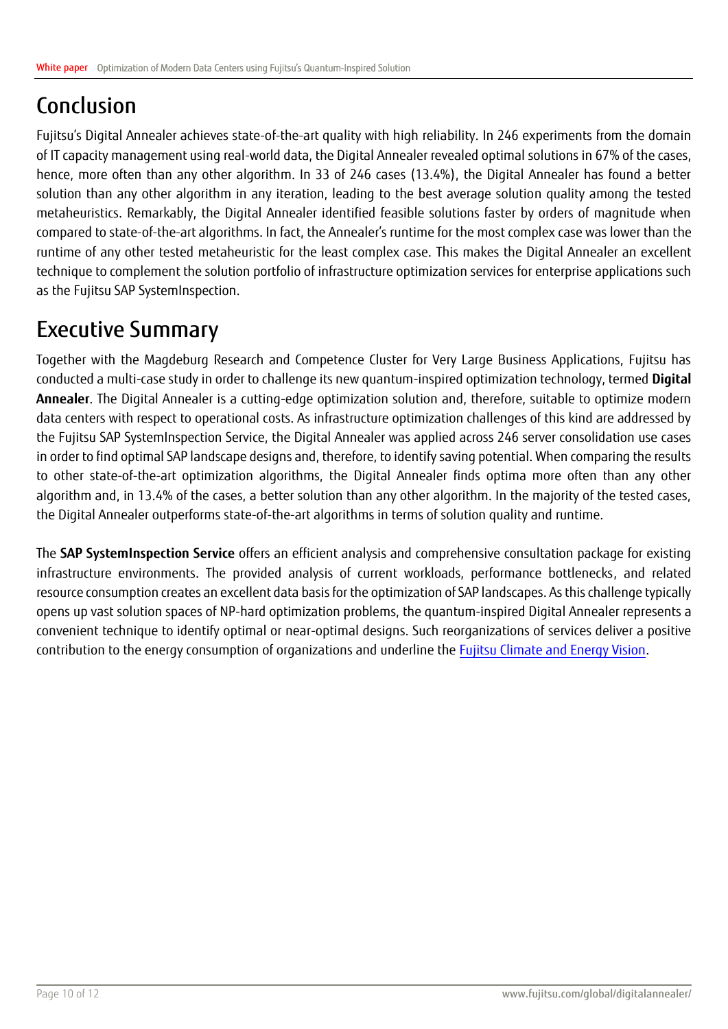## <span id="page-9-0"></span>Conclusion

Fujitsu's Digital Annealer achieves state-of-the-art quality with high reliability. In 246 experiments from the domain of IT capacity management using real-world data, the Digital Annealer revealed optimal solutions in 67% of the cases, hence, more often than any other algorithm. In 33 of 246 cases (13.4%), the Digital Annealer has found a better solution than any other algorithm in any iteration, leading to the best average solution quality among the tested metaheuristics. Remarkably, the Digital Annealer identified feasible solutions faster by orders of magnitude when compared to state-of-the-art algorithms. In fact, the Annealer's runtime for the most complex case was lower than the runtime of any other tested metaheuristic for the least complex case. This makes the Digital Annealer an excellent technique to complement the solution portfolio of infrastructure optimization services for enterprise applications such as the Fujitsu SAP SystemInspection.

### <span id="page-9-1"></span>Executive Summary

Together with the Magdeburg Research and Competence Cluster for Very Large Business Applications, Fujitsu has conducted a multi-case study in order to challenge its new quantum-inspired optimization technology, termed **Digital Annealer**. The Digital Annealer is a cutting-edge optimization solution and, therefore, suitable to optimize modern data centers with respect to operational costs. As infrastructure optimization challenges of this kind are addressed by the Fujitsu SAP SystemInspection Service, the Digital Annealer was applied across 246 server consolidation use cases in order to find optimal SAP landscape designs and, therefore, to identify saving potential. When comparing the results to other state-of-the-art optimization algorithms, the Digital Annealer finds optima more often than any other algorithm and, in 13.4% of the cases, a better solution than any other algorithm. In the majority of the tested cases, the Digital Annealer outperforms state-of-the-art algorithms in terms of solution quality and runtime.

The **SAP SystemInspection Service** offers an efficient analysis and comprehensive consultation package for existing infrastructure environments. The provided analysis of current workloads, performance bottlenecks, and related resource consumption creates an excellent data basis for the optimization of SAP landscapes. As this challenge typically opens up vast solution spaces of NP-hard optimization problems, the quantum-inspired Digital Annealer represents a convenient technique to identify optimal or near-optimal designs. Such reorganizations of services deliver a positive contribution to the energy consumption of organizations and underline th[e Fujitsu Climate and Energy Vision.](https://www.fujitsu.com/global/microsite/fujitsu-climate-and-energy-vision/)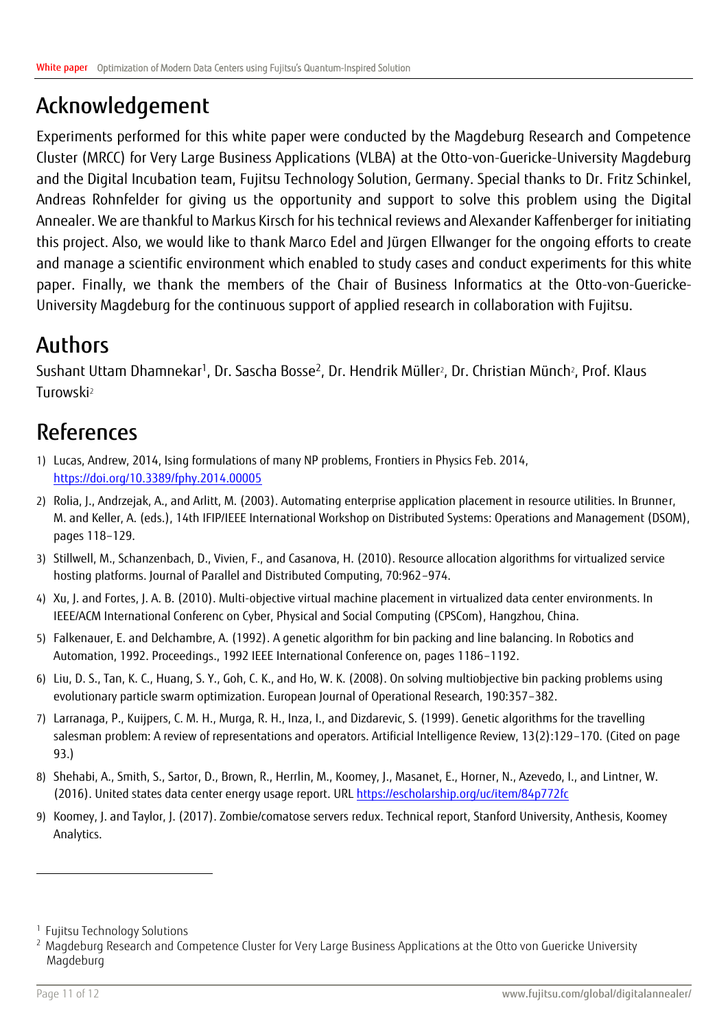### <span id="page-10-0"></span>Acknowledgement

Experiments performed for this white paper were conducted by the Magdeburg Research and Competence Cluster (MRCC) for Very Large Business Applications (VLBA) at the Otto-von-Guericke-University Magdeburg and the Digital Incubation team, Fujitsu Technology Solution, Germany. Special thanks to Dr. Fritz Schinkel, Andreas Rohnfelder for giving us the opportunity and support to solve this problem using the Digital Annealer. We are thankful to Markus Kirsch for his technical reviews and Alexander Kaffenberger for initiating this project. Also, we would like to thank Marco Edel and Jürgen Ellwanger for the ongoing efforts to create and manage a scientific environment which enabled to study cases and conduct experiments for this white paper. Finally, we thank the members of the Chair of Business Informatics at the Otto-von-Guericke-University Magdeburg for the continuous support of applied research in collaboration with Fujitsu.

### <span id="page-10-1"></span>Authors

<span id="page-10-3"></span>Sushant Uttam Dhamneka[r](#page-10-3)<sup>1</sup>, Dr. Sasc[h](#page-10-3)a Bosse<sup>2</sup>, Dr. Hendrik Müller<sup>2</sup>, Dr. Christian Münch<sup>2</sup>, Prof. Klaus Turowsk[i](#page-10-3)<sup>2</sup>

## <span id="page-10-2"></span>References

- 1) Lucas, Andrew, 2014, Ising formulations of many NP problems, Frontiers in Physics Feb. 2014, <https://doi.org/10.3389/fphy.2014.00005>
- 2) Rolia, J., Andrzejak, A., and Arlitt, M. (2003). Automating enterprise application placement in resource utilities. In Brunner, M. and Keller, A. (eds.), 14th IFIP/IEEE International Workshop on Distributed Systems: Operations and Management (DSOM), pages 118–129.
- 3) Stillwell, M., Schanzenbach, D., Vivien, F., and Casanova, H. (2010). Resource allocation algorithms for virtualized service hosting platforms. Journal of Parallel and Distributed Computing, 70:962–974.
- 4) Xu, J. and Fortes, J. A. B. (2010). Multi-objective virtual machine placement in virtualized data center environments. In IEEE/ACM International Conferenc on Cyber, Physical and Social Computing (CPSCom), Hangzhou, China.
- 5) Falkenauer, E. and Delchambre, A. (1992). A genetic algorithm for bin packing and line balancing. In Robotics and Automation, 1992. Proceedings., 1992 IEEE International Conference on, pages 1186–1192.
- 6) Liu, D. S., Tan, K. C., Huang, S. Y., Goh, C. K., and Ho, W. K. (2008). On solving multiobjective bin packing problems using evolutionary particle swarm optimization. European Journal of Operational Research, 190:357–382.
- 7) Larranaga, P., Kuijpers, C. M. H., Murga, R. H., Inza, I., and Dizdarevic, S. (1999). Genetic algorithms for the travelling salesman problem: A review of representations and operators. Artificial Intelligence Review, 13(2):129–170. (Cited on page 93.)
- 8) Shehabi, A., Smith, S., Sartor, D., Brown, R., Herrlin, M., Koomey, J., Masanet, E., Horner, N., Azevedo, I., and Lintner, W. (2016). United states data center energy usage report. UR[L https://escholarship.org/uc/item/84p772fc](https://escholarship.org/uc/item/84p772fc)
- 9) Koomey, J. and Taylor, J. (2017). Zombie/comatose servers redux. Technical report, Stanford University, Anthesis, Koomey Analytics.

 $\overline{a}$ 

<sup>1</sup> Fujitsu Technology Solutions

<sup>&</sup>lt;sup>2</sup> Magdeburg Research and Competence Cluster for Very Large Business Applications at the Otto von Guericke University Magdeburg